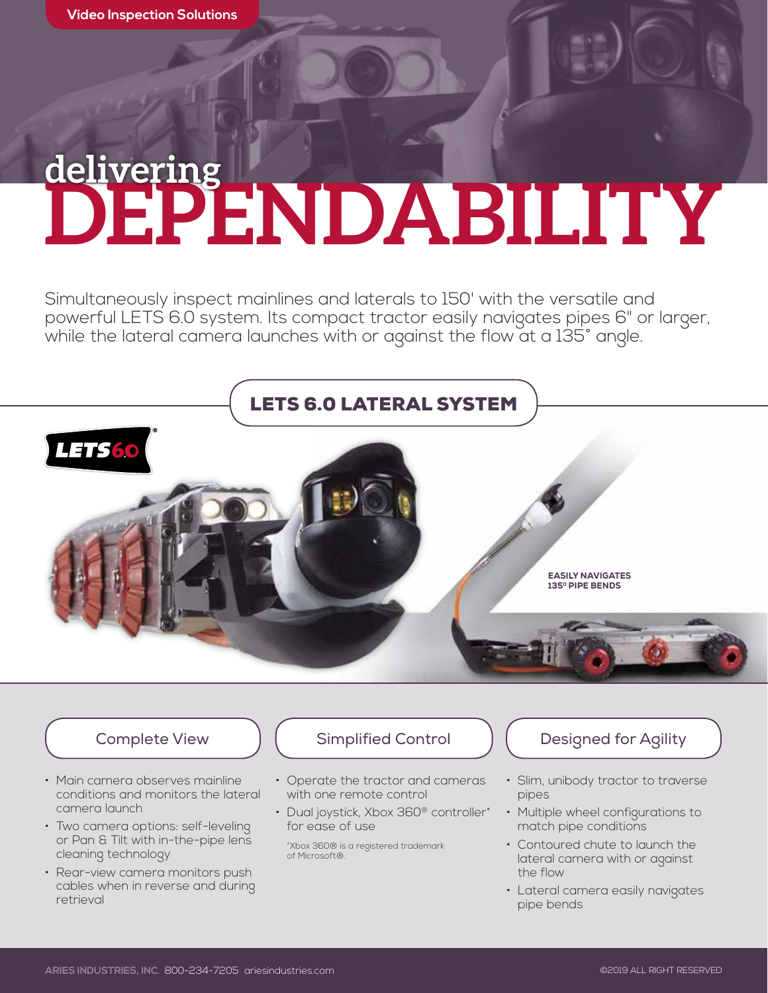## **DEPENDABILITY delivering**

Simultaneously inspect mainlines and laterals to 150' with the versatile and powerful LETS 6.0 system. Its compact tractor easily navigates pipes 6" or larger, while the lateral camera launches with or against the flow at a 135° angle.



- Main camera observes mainline conditions and monitors the lateral camera launch
- Two camera options: self-leveling or Pan & Tilt with in-the-pipe lens cleaning technology
- Rear-view camera monitors push cables when in reverse and during retrieval

#### Complete View (Complified Control Table 1) [Complete View Complete View Agility

- Operate the tractor and cameras with one remote control
- Dual joystick, Xbox 360<sup>®</sup> controller\* for ease of use
	- \*Xbox 360® is a registered trademark of Microsoft®.

- Slim, unibody tractor to traverse pipes
- Multiple wheel configurations to match pipe conditions
- Contoured chute to launch the lateral camera with or against the flow
- Lateral camera easily navigates pipe bends